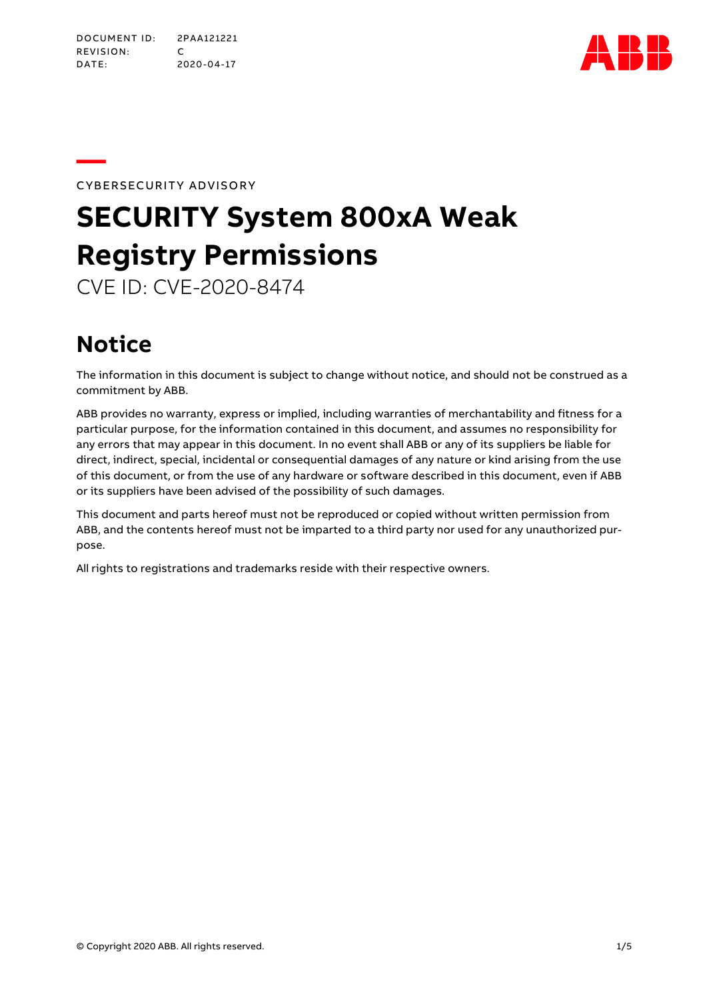

**—**CYBERSECURITY ADVISORY

# **SECURITY System 800xA Weak Registry Permissions**

CVE ID: CVE-2020-8474

# **Notice**

The information in this document is subject to change without notice, and should not be construed as a commitment by ABB.

ABB provides no warranty, express or implied, including warranties of merchantability and fitness for a particular purpose, for the information contained in this document, and assumes no responsibility for any errors that may appear in this document. In no event shall ABB or any of its suppliers be liable for direct, indirect, special, incidental or consequential damages of any nature or kind arising from the use of this document, or from the use of any hardware or software described in this document, even if ABB or its suppliers have been advised of the possibility of such damages.

This document and parts hereof must not be reproduced or copied without written permission from ABB, and the contents hereof must not be imparted to a third party nor used for any unauthorized purpose.

All rights to registrations and trademarks reside with their respective owners.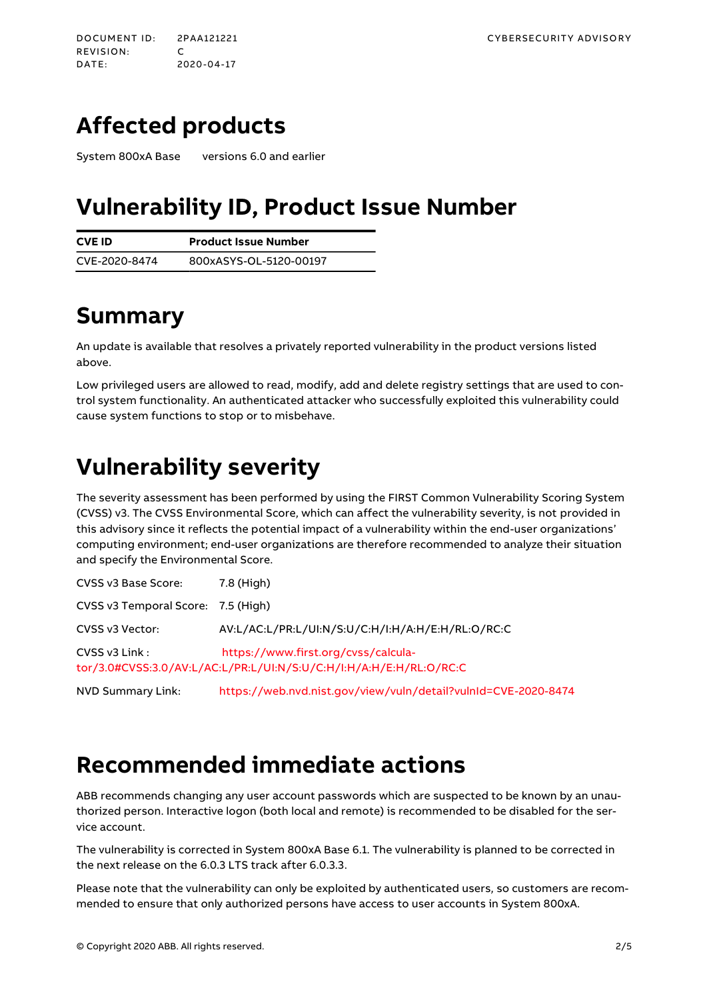# **Affected products**

System 800xA Base versions 6.0 and earlier

### **Vulnerability ID, Product Issue Number**

| <b>CVE ID</b> | <b>Product Issue Number</b> |
|---------------|-----------------------------|
| CVE-2020-8474 | 800xASYS-OL-5120-00197      |

# **Summary**

An update is available that resolves a privately reported vulnerability in the product versions listed above.

Low privileged users are allowed to read, modify, add and delete registry settings that are used to control system functionality. An authenticated attacker who successfully exploited this vulnerability could cause system functions to stop or to misbehave.

# **Vulnerability severity**

The severity assessment has been performed by using the FIRST Common Vulnerability Scoring System (CVSS) v3. The CVSSEnvironmental Score, which can affect the vulnerability severity, is not provided in this advisory since it reflects the potential impact of a vulnerability within the end-user organizations' computing environment; end-user organizations are therefore recommended to analyze their situation and specify the Environmental Score.

| CVSS v3 Base Score:                | 7.8 (High)                                                                                                |
|------------------------------------|-----------------------------------------------------------------------------------------------------------|
| CVSS v3 Temporal Score: 7.5 (High) |                                                                                                           |
| CVSS v3 Vector:                    | AV:L/AC:L/PR:L/UI:N/S:U/C:H/I:H/A:H/E:H/RL:O/RC:C                                                         |
| CVSS v3 Link:                      | https://www.first.org/cyss/calcula-<br>tor/3.0#CVSS:3.0/AV:L/AC:L/PR:L/UI:N/S:U/C:H/I:H/A:H/E:H/RL:O/RC:C |

NVD Summary Link: <https://web.nvd.nist.gov/view/vuln/detail?vulnId=CVE-2020-8474>

## **Recommended immediate actions**

ABB recommends changing any user account passwords which are suspected to be known by an unauthorized person. Interactive logon (both local and remote) is recommended to be disabled for the service account.

The vulnerability is corrected in System 800xA Base 6.1. The vulnerability is planned to be corrected in the next release on the 6.0.3 LTS track after 6.0.3.3.

Please note that the vulnerability can only be exploited by authenticated users, so customers are recommended to ensure that only authorized persons have access to user accounts in System 800xA.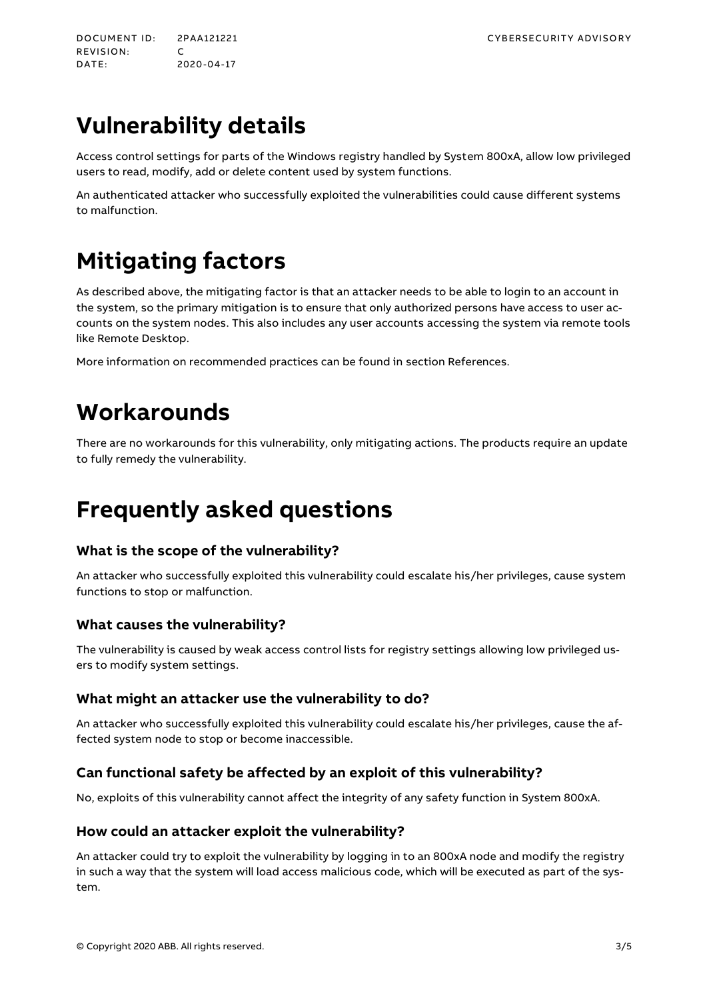# **Vulnerability details**

Access control settings for parts of the Windows registry handled by System 800xA, allow low privileged users to read, modify, add or delete content used by system functions.

An authenticated attacker who successfully exploited the vulnerabilities could cause different systems to malfunction.

# **Mitigating factors**

As described above, the mitigating factor is that an attacker needs to be able to login to an account in the system, so the primary mitigation is to ensure that only authorized persons have access to user accounts on the system nodes. This also includes any user accounts accessing the system via remote tools like Remote Desktop.

More information on recommended practices can be found in section [References.](#page-3-0)

### **Workarounds**

There are no workarounds for this vulnerability, only mitigating actions. The products require an update to fully remedy the vulnerability.

# **Frequently asked questions**

#### **What is the scope of the vulnerability?**

An attacker who successfully exploited this vulnerability could escalate his/her privileges, cause system functions to stop or malfunction.

#### **What causes the vulnerability?**

The vulnerability is caused by weak access control lists for registry settings allowing low privileged users to modify system settings.

#### **What might an attacker use the vulnerability to do?**

An attacker who successfully exploited this vulnerability could escalate his/her privileges, cause the affected system node to stop or become inaccessible.

#### **Can functional safety be affected by an exploit of this vulnerability?**

No, exploits of this vulnerability cannot affect the integrity of any safety function in System 800xA.

#### **How could an attacker exploit the vulnerability?**

An attacker could try to exploit the vulnerability by logging in to an 800xAnode and modify the registry in such a way that the system will load access malicious code, which will be executed as part of the system.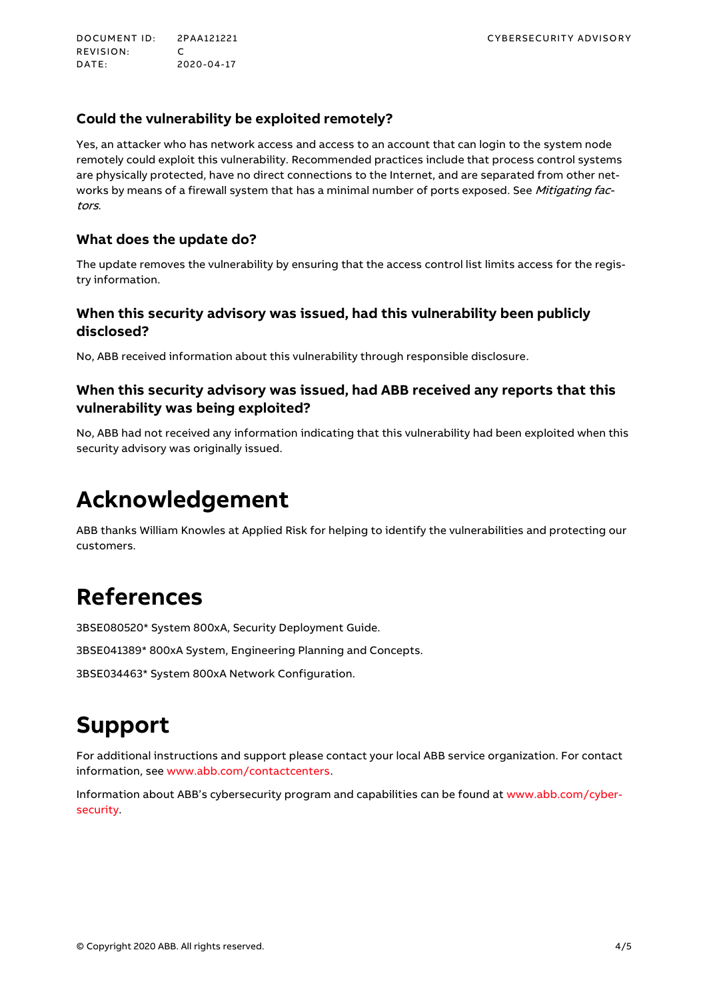<span id="page-3-0"></span>REVISION: C<br>DATE: 20 DATE: 2020-04-17

#### **Could the vulnerability be exploited remotely?**

Yes, an attacker who has network access and access to an account that can login to the system node remotely could exploit this vulnerability. Recommended practices include that process control systems are physically protected, have no direct connections to the Internet, and are separated from other networks by means of a firewall system that has a minimal number of ports exposed. See Mitigating factors.

#### **What does the update do?**

The update removes the vulnerability by ensuring that the access control list limits access for the registry information.

#### **When this security advisory was issued, had this vulnerability been publicly disclosed?**

No, ABB received information about this vulnerability through responsible disclosure.

#### **When this security advisory was issued, had ABB received any reports that this vulnerability was being exploited?**

No, ABB had not received any information indicating that this vulnerability had been exploited when this security advisory was originally issued.

### **Acknowledgement**

ABB thanks William Knowles at Applied Risk for helping to identify the vulnerabilities and protecting our customers.

### **References**

3BSE080520\* System 800xA, Security Deployment Guide.

3BSE041389\* 800xA System, Engineering Planning and Concepts.

3BSE034463\* System 800xA Network Configuration.

### **Support**

For additional instructions and support please contact your local ABB service organization. For contact information, see [www.abb.com/contactcenters.](http://www.abb.com/contactcenters)

Information about ABB's cybersecurity program and capabilities can be found at [www.abb.com/cyber](http://www.abb.com/cybersecurity)[security.](http://www.abb.com/cybersecurity)